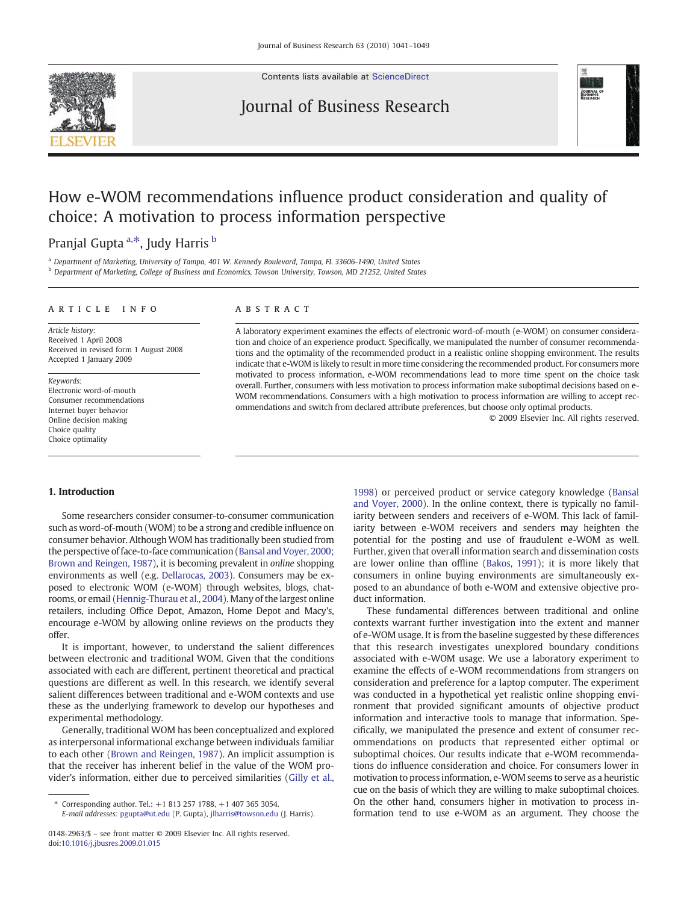

Contents lists available at [ScienceDirect](http://www.sciencedirect.com/science/journal/01482963)

# Journal of Business Research



# How e-WOM recommendations influence product consideration and quality of choice: A motivation to process information perspective

## Pranjal Gupta <sup>a,\*</sup>, Judy Harris <sup>b</sup>

<sup>a</sup> Department of Marketing, University of Tampa, 401 W. Kennedy Boulevard, Tampa, FL 33606-1490, United States

<sup>b</sup> Department of Marketing, College of Business and Economics, Towson University, Towson, MD 21252, United States

#### article info abstract

Article history: Received 1 April 2008 Received in revised form 1 August 2008 Accepted 1 January 2009

Keywords: Electronic word-of-mouth Consumer recommendations Internet buyer behavior Online decision making Choice quality Choice optimality

A laboratory experiment examines the effects of electronic word-of-mouth (e-WOM) on consumer consideration and choice of an experience product. Specifically, we manipulated the number of consumer recommendations and the optimality of the recommended product in a realistic online shopping environment. The results indicate that e-WOM is likely to result in more time considering the recommended product. For consumers more motivated to process information, e-WOM recommendations lead to more time spent on the choice task overall. Further, consumers with less motivation to process information make suboptimal decisions based on e-WOM recommendations. Consumers with a high motivation to process information are willing to accept recommendations and switch from declared attribute preferences, but choose only optimal products.

© 2009 Elsevier Inc. All rights reserved.

### 1. Introduction

Some researchers consider consumer-to-consumer communication such as word-of-mouth (WOM) to be a strong and credible influence on consumer behavior. Although WOM has traditionally been studied from the perspective of face-to-face communication ([Bansal and Voyer, 2000;](#page--1-0) [Brown and Reingen, 1987\)](#page--1-0), it is becoming prevalent in online shopping environments as well (e.g. [Dellarocas, 2003](#page--1-0)). Consumers may be exposed to electronic WOM (e-WOM) through websites, blogs, chatrooms, or email [\(Hennig-Thurau et al., 2004\)](#page--1-0). Many of the largest online retailers, including Office Depot, Amazon, Home Depot and Macy's, encourage e-WOM by allowing online reviews on the products they offer.

It is important, however, to understand the salient differences between electronic and traditional WOM. Given that the conditions associated with each are different, pertinent theoretical and practical questions are different as well. In this research, we identify several salient differences between traditional and e-WOM contexts and use these as the underlying framework to develop our hypotheses and experimental methodology.

Generally, traditional WOM has been conceptualized and explored as interpersonal informational exchange between individuals familiar to each other [\(Brown and Reingen, 1987](#page--1-0)). An implicit assumption is that the receiver has inherent belief in the value of the WOM provider's information, either due to perceived similarities ([Gilly et al.,](#page--1-0)

[1998\)](#page--1-0) or perceived product or service category knowledge [\(Bansal](#page--1-0) [and Voyer, 2000](#page--1-0)). In the online context, there is typically no familiarity between senders and receivers of e-WOM. This lack of familiarity between e-WOM receivers and senders may heighten the potential for the posting and use of fraudulent e-WOM as well. Further, given that overall information search and dissemination costs are lower online than offline [\(Bakos, 1991](#page--1-0)); it is more likely that consumers in online buying environments are simultaneously exposed to an abundance of both e-WOM and extensive objective product information.

These fundamental differences between traditional and online contexts warrant further investigation into the extent and manner of e-WOM usage. It is from the baseline suggested by these differences that this research investigates unexplored boundary conditions associated with e-WOM usage. We use a laboratory experiment to examine the effects of e-WOM recommendations from strangers on consideration and preference for a laptop computer. The experiment was conducted in a hypothetical yet realistic online shopping environment that provided significant amounts of objective product information and interactive tools to manage that information. Specifically, we manipulated the presence and extent of consumer recommendations on products that represented either optimal or suboptimal choices. Our results indicate that e-WOM recommendations do influence consideration and choice. For consumers lower in motivation to process information, e-WOM seems to serve as a heuristic cue on the basis of which they are willing to make suboptimal choices. On the other hand, consumers higher in motivation to process information tend to use e-WOM as an argument. They choose the

<sup>⁎</sup> Corresponding author. Tel.: +1 813 257 1788, +1 407 365 3054. E-mail addresses: [pgupta@ut.edu](mailto:pgupta@ut.edu) (P. Gupta), [jlharris@towson.edu](mailto:jlharris@towson.edu) (J. Harris).

<sup>0148-2963/\$</sup> – see front matter © 2009 Elsevier Inc. All rights reserved. doi:[10.1016/j.jbusres.2009.01.015](http://dx.doi.org/10.1016/j.jbusres.2009.01.015)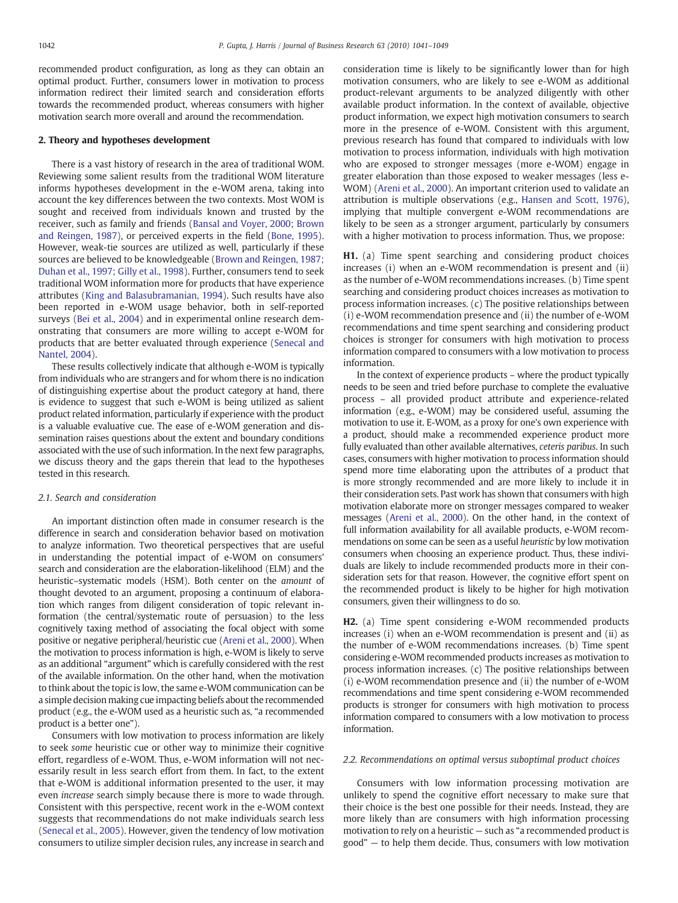recommended product configuration, as long as they can obtain an optimal product. Further, consumers lower in motivation to process information redirect their limited search and consideration efforts towards the recommended product, whereas consumers with higher motivation search more overall and around the recommendation.

#### 2. Theory and hypotheses development

There is a vast history of research in the area of traditional WOM. Reviewing some salient results from the traditional WOM literature informs hypotheses development in the e-WOM arena, taking into account the key differences between the two contexts. Most WOM is sought and received from individuals known and trusted by the receiver, such as family and friends ([Bansal and Voyer, 2000; Brown](#page--1-0) [and Reingen, 1987\)](#page--1-0), or perceived experts in the field [\(Bone, 1995](#page--1-0)). However, weak-tie sources are utilized as well, particularly if these sources are believed to be knowledgeable [\(Brown and Reingen, 1987;](#page--1-0) [Duhan et al., 1997; Gilly et al., 1998\)](#page--1-0). Further, consumers tend to seek traditional WOM information more for products that have experience attributes [\(King and Balasubramanian, 1994\)](#page--1-0). Such results have also been reported in e-WOM usage behavior, both in self-reported surveys ([Bei et al., 2004\)](#page--1-0) and in experimental online research demonstrating that consumers are more willing to accept e-WOM for products that are better evaluated through experience [\(Senecal and](#page--1-0) [Nantel, 2004](#page--1-0)).

These results collectively indicate that although e-WOM is typically from individuals who are strangers and for whom there is no indication of distinguishing expertise about the product category at hand, there is evidence to suggest that such e-WOM is being utilized as salient product related information, particularly if experience with the product is a valuable evaluative cue. The ease of e-WOM generation and dissemination raises questions about the extent and boundary conditions associated with the use of such information. In the next few paragraphs, we discuss theory and the gaps therein that lead to the hypotheses tested in this research.

#### 2.1. Search and consideration

An important distinction often made in consumer research is the difference in search and consideration behavior based on motivation to analyze information. Two theoretical perspectives that are useful in understanding the potential impact of e-WOM on consumers' search and consideration are the elaboration-likelihood (ELM) and the heuristic–systematic models (HSM). Both center on the amount of thought devoted to an argument, proposing a continuum of elaboration which ranges from diligent consideration of topic relevant information (the central/systematic route of persuasion) to the less cognitively taxing method of associating the focal object with some positive or negative peripheral/heuristic cue [\(Areni et al., 2000\)](#page--1-0). When the motivation to process information is high, e-WOM is likely to serve as an additional "argument" which is carefully considered with the rest of the available information. On the other hand, when the motivation to think about the topic is low, the same e-WOM communication can be a simple decision making cue impacting beliefs about the recommended product (e.g., the e-WOM used as a heuristic such as, "a recommended product is a better one").

Consumers with low motivation to process information are likely to seek some heuristic cue or other way to minimize their cognitive effort, regardless of e-WOM. Thus, e-WOM information will not necessarily result in less search effort from them. In fact, to the extent that e-WOM is additional information presented to the user, it may even increase search simply because there is more to wade through. Consistent with this perspective, recent work in the e-WOM context suggests that recommendations do not make individuals search less [\(Senecal et al., 2005\)](#page--1-0). However, given the tendency of low motivation consumers to utilize simpler decision rules, any increase in search and consideration time is likely to be significantly lower than for high motivation consumers, who are likely to see e-WOM as additional product-relevant arguments to be analyzed diligently with other available product information. In the context of available, objective product information, we expect high motivation consumers to search more in the presence of e-WOM. Consistent with this argument, previous research has found that compared to individuals with low motivation to process information, individuals with high motivation who are exposed to stronger messages (more e-WOM) engage in greater elaboration than those exposed to weaker messages (less e-WOM) [\(Areni et al., 2000](#page--1-0)). An important criterion used to validate an attribution is multiple observations (e.g., [Hansen and Scott, 1976](#page--1-0)), implying that multiple convergent e-WOM recommendations are likely to be seen as a stronger argument, particularly by consumers with a higher motivation to process information. Thus, we propose:

H1. (a) Time spent searching and considering product choices increases (i) when an e-WOM recommendation is present and (ii) as the number of e-WOM recommendations increases. (b) Time spent searching and considering product choices increases as motivation to process information increases. (c) The positive relationships between (i) e-WOM recommendation presence and (ii) the number of e-WOM recommendations and time spent searching and considering product choices is stronger for consumers with high motivation to process information compared to consumers with a low motivation to process information.

In the context of experience products – where the product typically needs to be seen and tried before purchase to complete the evaluative process – all provided product attribute and experience-related information (e.g., e-WOM) may be considered useful, assuming the motivation to use it. E-WOM, as a proxy for one's own experience with a product, should make a recommended experience product more fully evaluated than other available alternatives, ceteris paribus. In such cases, consumers with higher motivation to process information should spend more time elaborating upon the attributes of a product that is more strongly recommended and are more likely to include it in their consideration sets. Past work has shown that consumers with high motivation elaborate more on stronger messages compared to weaker messages [\(Areni et al., 2000\)](#page--1-0). On the other hand, in the context of full information availability for all available products, e-WOM recommendations on some can be seen as a useful heuristic by low motivation consumers when choosing an experience product. Thus, these individuals are likely to include recommended products more in their consideration sets for that reason. However, the cognitive effort spent on the recommended product is likely to be higher for high motivation consumers, given their willingness to do so.

H2. (a) Time spent considering e-WOM recommended products increases (i) when an e-WOM recommendation is present and (ii) as the number of e-WOM recommendations increases. (b) Time spent considering e-WOM recommended products increases as motivation to process information increases. (c) The positive relationships between (i) e-WOM recommendation presence and (ii) the number of e-WOM recommendations and time spent considering e-WOM recommended products is stronger for consumers with high motivation to process information compared to consumers with a low motivation to process information.

#### 2.2. Recommendations on optimal versus suboptimal product choices

Consumers with low information processing motivation are unlikely to spend the cognitive effort necessary to make sure that their choice is the best one possible for their needs. Instead, they are more likely than are consumers with high information processing motivation to rely on a heuristic — such as "a recommended product is good" — to help them decide. Thus, consumers with low motivation